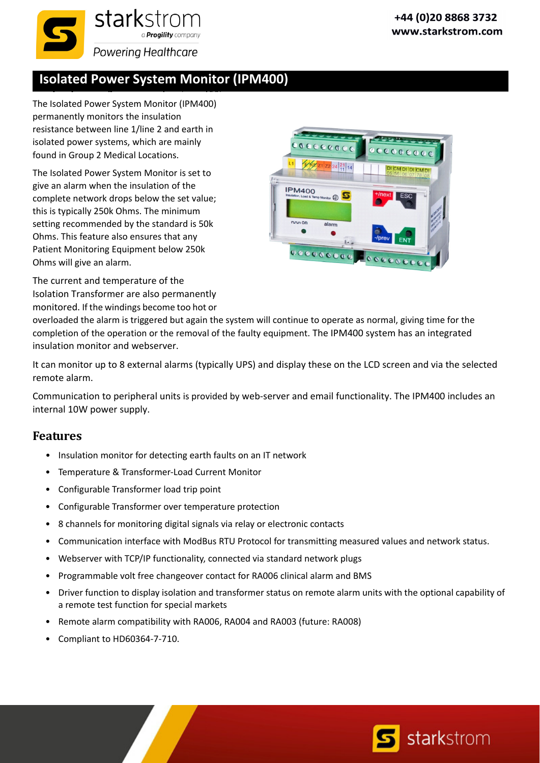

## **Isolated Power System Monitor (IPM400)**

The Isolated Power System Monitor (IPM400) permanently monitors the insulation resistance between line 1/line 2 and earth in isolated power systems, which are mainly found in Group 2 Medical Locations.

The Isolated Power System Monitor is set to give an alarm when the insulation of the complete network drops below the set value; this is typically 250k Ohms. The minimum setting recommended by the standard is 50k Ohms. This feature also ensures that any Patient Monitoring Equipment below 250k Ohms will give an alarm.



The current and temperature of the Isolation Transformer are also permanently monitored. If the windings become too hot or

overloaded the alarm is triggered but again the system will continue to operate as normal, giving time for the completion of the operation or the removal of the faulty equipment. The IPM400 system has an integrated insulation monitor and webserver.

It can monitor up to 8 external alarms (typically UPS) and display these on the LCD screen and via the selected remote alarm.

Communication to peripheral units is provided by web‐server and email functionality. The IPM400 includes an internal 10W power supply.

## **Features**

- Insulation monitor for detecting earth faults on an IT network
- Temperature & Transformer‐Load Current Monitor
- Configurable Transformer load trip point
- Configurable Transformer over temperature protection
- 8 channels for monitoring digital signals via relay or electronic contacts
- Communication interface with ModBus RTU Protocol for transmitting measured values and network status.
- Webserver with TCP/IP functionality, connected via standard network plugs
- Programmable volt free changeover contact for RA006 clinical alarm and BMS
- Driver function to display isolation and transformer status on remote alarm units with the optional capability of a remote test function for special markets
- Remote alarm compatibility with RA006, RA004 and RA003 (future: RA008)
- Compliant to HD60364-7-710.